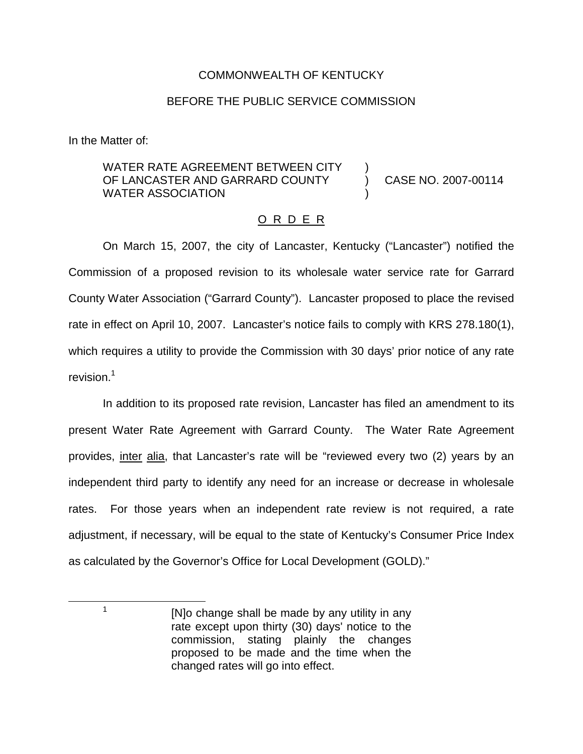## COMMONWEALTH OF KENTUCKY

## BEFORE THE PUBLIC SERVICE COMMISSION

In the Matter of:

## WATER RATE AGREEMENT BETWEEN CITY OF LANCASTER AND GARRARD COUNTY WATER ASSOCIATION ) ) CASE NO. 2007-00114 )

## O R D E R

On March 15, 2007, the city of Lancaster, Kentucky ("Lancaster") notified the Commission of a proposed revision to its wholesale water service rate for Garrard County Water Association ("Garrard County"). Lancaster proposed to place the revised rate in effect on April 10, 2007. Lancaster's notice fails to comply with KRS 278.180(1), which requires a utility to provide the Commission with 30 days' prior notice of any rate revision.<sup>1</sup>

In addition to its proposed rate revision, Lancaster has filed an amendment to its present Water Rate Agreement with Garrard County. The Water Rate Agreement provides, inter alia, that Lancaster's rate will be "reviewed every two (2) years by an independent third party to identify any need for an increase or decrease in wholesale rates. For those years when an independent rate review is not required, a rate adjustment, if necessary, will be equal to the state of Kentucky's Consumer Price Index as calculated by the Governor's Office for Local Development (GOLD)."

 $1$  [N]o change shall be made by any utility in any rate except upon thirty (30) days' notice to the commission, stating plainly the changes proposed to be made and the time when the changed rates will go into effect.